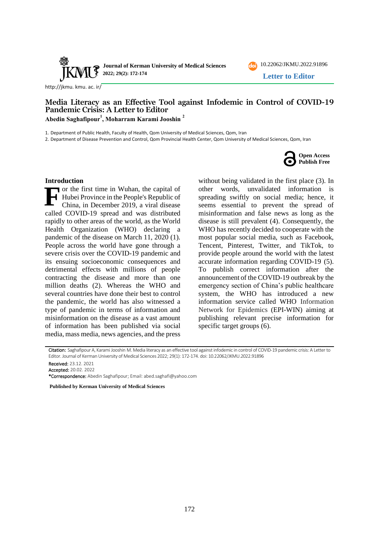



[http://jkmu. kmu. ac. ir/](http://jkmu.kmu.ac.ir/)

## **Media Literacy as an Effective Tool against Infodemic in Control of COVID-19 Pandemic Crisis: A Letter to Editor Abedin Saghafipour<sup>1</sup> , Moharram Karami Jooshin <sup>2</sup>**

1. Department of Public Health, Faculty of Health, Qom University of Medical Sciences, Qom, Iran

2. Department of Disease Prevention and Control, Qom Provincial Health Center, Qom University of Medical Sciences, Qom, Iran

**Open Access Publish Free**

#### **Introduction**

or the first time in Wuhan, the capital of Hubei Province in the People's Republic of China, in December 2019, a viral disease called COVID-19 spread and was distributed rapidly to other areas of the world, as the World Health Organization (WHO) declaring a pandemic of the disease on March 11, 2020 (1). People across the world have gone through a severe crisis over the COVID-19 pandemic and its ensuing socioeconomic consequences and detrimental effects with millions of people contracting the disease and more than one million deaths (2). Whereas the WHO and several countries have done their best to control the pandemic, the world has also witnessed a type of pandemic in terms of information and misinformation on the disease as a vast amount of information has been published via social media, mass media, news agencies, and the press **F**

without being validated in the first place (3). In other words, unvalidated information is spreading swiftly on social media; hence, it seems essential to prevent the spread of misinformation and false news as long as the disease is still prevalent (4). Consequently, the WHO has recently decided to cooperate with the most popular social media, such as Facebook, Tencent, Pinterest, Twitter, and TikTok, to provide people around the world with the latest accurate information regarding COVID-19 (5). To publish correct information after the announcement of the COVID-19 outbreak by the emergency section of China's public healthcare system, the WHO has introduced a new information service called WHO Information Network for Epidemics (EPI-WIN) aiming at publishing relevant precise information for specific target groups (6).

Citation: Saghafipour A, Karami Jooshin M. Media literacy as an effective tool against infodemic in control of COVID-19 pandemic crisis: A Letter to Editor. Journal of Kerman University of Medical Sciences 2022; 29(1): 172-174. doi: [10.22062/JKMU.2022.91896](https://dx.doi.org/10.22062/jkmu.2022.91896)

Received: 23.12. 2021

Accepted: 20.02. 2022

<sup>\*</sup>Correspondence: Abedin Saghafipour; Email: abed.saghafi@yahoo.com

**Published by Kerman University of Medical Sciences**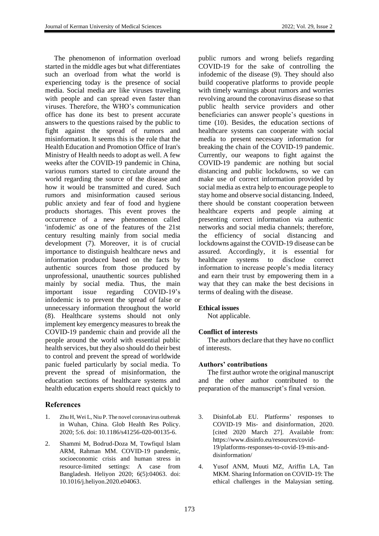The phenomenon of information overload started in the middle ages but what differentiates such an overload from what the world is experiencing today is the presence of social media. Social media are like viruses traveling with people and can spread even faster than viruses. Therefore, the WHO's communication office has done its best to present accurate answers to the questions raised by the public to fight against the spread of rumors and misinformation. It seems this is the role that the Health Education and Promotion Office of Iran's Ministry of Health needs to adopt as well. A few weeks after the COVID-19 pandemic in China, various rumors started to circulate around the world regarding the source of the disease and how it would be transmitted and cured. Such rumors and misinformation caused serious public anxiety and fear of food and hygiene products shortages. This event proves the occurrence of a new phenomenon called 'infodemic' as one of the features of the 21st century resulting mainly from social media development (7). Moreover, it is of crucial importance to distinguish healthcare news and information produced based on the facts by authentic sources from those produced by unprofessional, unauthentic sources published mainly by social media. Thus, the main important issue regarding COVID-19's infodemic is to prevent the spread of false or unnecessary information throughout the world (8). Healthcare systems should not only implement key emergency measures to break the COVID-19 pandemic chain and provide all the people around the world with essential public health services, but they also should do their best to control and prevent the spread of worldwide panic fueled particularly by social media. To prevent the spread of misinformation, the education sections of healthcare systems and health education experts should react quickly to

# **References**

- 1. Zhu H, Wei L, Niu P. The novel coronavirus outbreak in Wuhan, China. Glob Health Res Policy. 2020; 5:6. doi: 10.1186/s41256-020-00135-6.
- 2. [Shammi M,](https://www.unboundmedicine.com/medline/?st=M&author=Shammi%20M) [Bodrud-Doza M,](https://www.unboundmedicine.com/medline/?st=M&author=Bodrud-Doza%20M) [Towfiqul Islam](https://www.unboundmedicine.com/medline/?st=M&author=Towfiqul%20Islam%20ARM)  [ARM,](https://www.unboundmedicine.com/medline/?st=M&author=Towfiqul%20Islam%20ARM) [Rahman MM.](https://www.unboundmedicine.com/medline/?st=M&author=Rahman%20MM) COVID-19 pandemic, socioeconomic crisis and human stress in resource-limited settings: A case from Bangladesh. [Heliyon](https://www.unboundmedicine.com/medline/?st=M&journal=Heliyon) 2020; 6(5):04063. [doi:](https://doi.org/10.1016/j.heliyon.2020.e04063) [10.1016/j.heliyon.2020.e04063.](https://doi.org/10.1016/j.heliyon.2020.e04063)

public rumors and wrong beliefs regarding COVID-19 for the sake of controlling the infodemic of the disease (9). They should also build cooperative platforms to provide people with timely warnings about rumors and worries revolving around the coronavirus disease so that public health service providers and other beneficiaries can answer people's questions in time (10). Besides, the education sections of healthcare systems can cooperate with social media to present necessary information for breaking the chain of the COVID-19 pandemic. Currently, our weapons to fight against the COVID-19 pandemic are nothing but social distancing and public lockdowns, so we can make use of correct information provided by social media as extra help to encourage people to stay home and observe social distancing. Indeed, there should be constant cooperation between healthcare experts and people aiming at presenting correct information via authentic networks and social media channels; therefore, the efficiency of social distancing and lockdowns against the COVID-19 disease can be assured. Accordingly, it is essential for healthcare systems to disclose correct information to increase people's media literacy and earn their trust by empowering them in a way that they can make the best decisions in terms of dealing with the disease.

### **Ethical issues**

Not applicable.

### **Conflict of interests**

The authors declare that they have no conflict of interests.

#### **Authors' contributions**

The first author wrote the original manuscript and the other author contributed to the preparation of the manuscript's final version.

- 3. DisinfoLab EU. Platforms' responses to COVID-19 Mis- and disinformation, 2020. [cited 2020 March 27]. Available from: [https://www.disinfo.eu/resources/covid-](https://www.disinfo.eu/resources/covid-19/platforms-responses-to-covid-19-mis-and-disinformation/)[19/platforms-responses-to-covid-19-mis-and](https://www.disinfo.eu/resources/covid-19/platforms-responses-to-covid-19-mis-and-disinformation/)[disinformation/](https://www.disinfo.eu/resources/covid-19/platforms-responses-to-covid-19-mis-and-disinformation/)
- 4. Yusof ANM, Muuti MZ, Ariffin LA, Tan MKM. Sharing Information on COVID-19: The ethical challenges in the Malaysian setting.